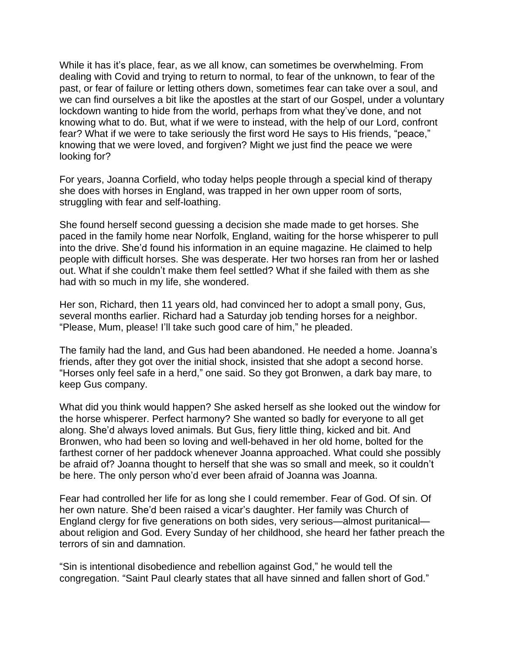While it has it's place, fear, as we all know, can sometimes be overwhelming. From dealing with Covid and trying to return to normal, to fear of the unknown, to fear of the past, or fear of failure or letting others down, sometimes fear can take over a soul, and we can find ourselves a bit like the apostles at the start of our Gospel, under a voluntary lockdown wanting to hide from the world, perhaps from what they've done, and not knowing what to do. But, what if we were to instead, with the help of our Lord, confront fear? What if we were to take seriously the first word He says to His friends, "peace," knowing that we were loved, and forgiven? Might we just find the peace we were looking for?

For years, Joanna Corfield, who today helps people through a special kind of therapy she does with horses in England, was trapped in her own upper room of sorts, struggling with fear and self-loathing.

She found herself second guessing a decision she made made to get horses. She paced in the family home near Norfolk, England, waiting for the horse whisperer to pull into the drive. She'd found his information in an equine magazine. He claimed to help people with difficult horses. She was desperate. Her two horses ran from her or lashed out. What if she couldn't make them feel settled? What if she failed with them as she had with so much in my life, she wondered.

Her son, Richard, then 11 years old, had convinced her to adopt a small pony, Gus, several months earlier. Richard had a Saturday job tending horses for a neighbor. "Please, Mum, please! I'll take such good care of him," he pleaded.

The family had the land, and Gus had been abandoned. He needed a home. Joanna's friends, after they got over the initial shock, insisted that she adopt a second horse. "Horses only feel safe in a herd," one said. So they got Bronwen, a dark bay mare, to keep Gus company.

What did you think would happen? She asked herself as she looked out the window for the horse whisperer. Perfect harmony? She wanted so badly for everyone to all get along. She'd always loved animals. But Gus, fiery little thing, kicked and bit. And Bronwen, who had been so loving and well-behaved in her old home, bolted for the farthest corner of her paddock whenever Joanna approached. What could she possibly be afraid of? Joanna thought to herself that she was so small and meek, so it couldn't be here. The only person who'd ever been afraid of Joanna was Joanna.

Fear had controlled her life for as long she I could remember. Fear of God. Of sin. Of her own nature. She'd been raised a vicar's daughter. Her family was Church of England clergy for five generations on both sides, very serious—almost puritanical about religion and God. Every Sunday of her childhood, she heard her father preach the terrors of sin and damnation.

"Sin is intentional disobedience and rebellion against God," he would tell the congregation. "Saint Paul clearly states that all have sinned and fallen short of God."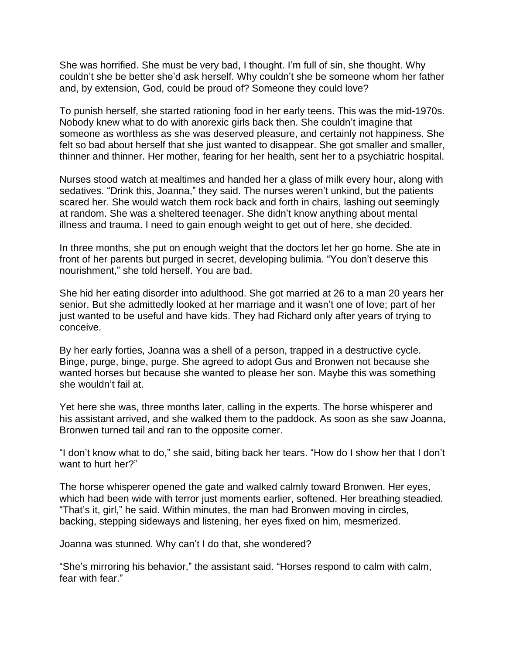She was horrified. She must be very bad, I thought. I'm full of sin, she thought. Why couldn't she be better she'd ask herself. Why couldn't she be someone whom her father and, by extension, God, could be proud of? Someone they could love?

To punish herself, she started rationing food in her early teens. This was the mid-1970s. Nobody knew what to do with anorexic girls back then. She couldn't imagine that someone as worthless as she was deserved pleasure, and certainly not happiness. She felt so bad about herself that she just wanted to disappear. She got smaller and smaller, thinner and thinner. Her mother, fearing for her health, sent her to a psychiatric hospital.

Nurses stood watch at mealtimes and handed her a glass of milk every hour, along with sedatives. "Drink this, Joanna," they said. The nurses weren't unkind, but the patients scared her. She would watch them rock back and forth in chairs, lashing out seemingly at random. She was a sheltered teenager. She didn't know anything about mental illness and trauma. I need to gain enough weight to get out of here, she decided.

In three months, she put on enough weight that the doctors let her go home. She ate in front of her parents but purged in secret, developing bulimia. "You don't deserve this nourishment," she told herself. You are bad.

She hid her eating disorder into adulthood. She got married at 26 to a man 20 years her senior. But she admittedly looked at her marriage and it wasn't one of love; part of her just wanted to be useful and have kids. They had Richard only after years of trying to conceive.

By her early forties, Joanna was a shell of a person, trapped in a destructive cycle. Binge, purge, binge, purge. She agreed to adopt Gus and Bronwen not because she wanted horses but because she wanted to please her son. Maybe this was something she wouldn't fail at.

Yet here she was, three months later, calling in the experts. The horse whisperer and his assistant arrived, and she walked them to the paddock. As soon as she saw Joanna, Bronwen turned tail and ran to the opposite corner.

"I don't know what to do," she said, biting back her tears. "How do I show her that I don't want to hurt her?"

The horse whisperer opened the gate and walked calmly toward Bronwen. Her eyes, which had been wide with terror just moments earlier, softened. Her breathing steadied. "That's it, girl," he said. Within minutes, the man had Bronwen moving in circles, backing, stepping sideways and listening, her eyes fixed on him, mesmerized.

Joanna was stunned. Why can't I do that, she wondered?

"She's mirroring his behavior," the assistant said. "Horses respond to calm with calm, fear with fear."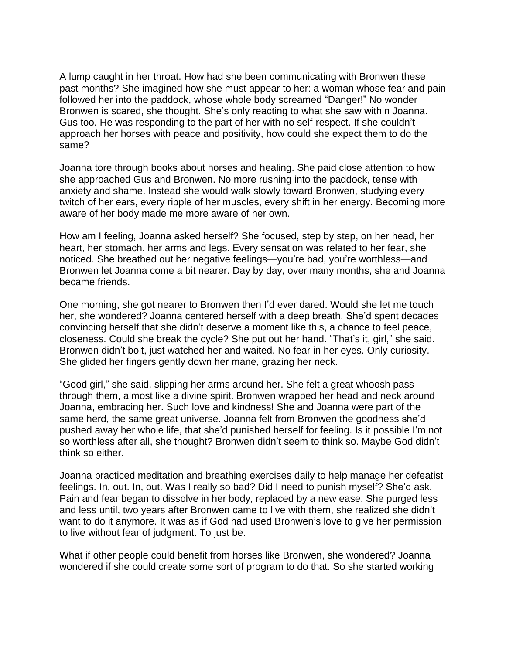A lump caught in her throat. How had she been communicating with Bronwen these past months? She imagined how she must appear to her: a woman whose fear and pain followed her into the paddock, whose whole body screamed "Danger!" No wonder Bronwen is scared, she thought. She's only reacting to what she saw within Joanna. Gus too. He was responding to the part of her with no self-respect. If she couldn't approach her horses with peace and positivity, how could she expect them to do the same?

Joanna tore through books about horses and healing. She paid close attention to how she approached Gus and Bronwen. No more rushing into the paddock, tense with anxiety and shame. Instead she would walk slowly toward Bronwen, studying every twitch of her ears, every ripple of her muscles, every shift in her energy. Becoming more aware of her body made me more aware of her own.

How am I feeling, Joanna asked herself? She focused, step by step, on her head, her heart, her stomach, her arms and legs. Every sensation was related to her fear, she noticed. She breathed out her negative feelings—you're bad, you're worthless—and Bronwen let Joanna come a bit nearer. Day by day, over many months, she and Joanna became friends.

One morning, she got nearer to Bronwen then I'd ever dared. Would she let me touch her, she wondered? Joanna centered herself with a deep breath. She'd spent decades convincing herself that she didn't deserve a moment like this, a chance to feel peace, closeness. Could she break the cycle? She put out her hand. "That's it, girl," she said. Bronwen didn't bolt, just watched her and waited. No fear in her eyes. Only curiosity. She glided her fingers gently down her mane, grazing her neck.

"Good girl," she said, slipping her arms around her. She felt a great whoosh pass through them, almost like a divine spirit. Bronwen wrapped her head and neck around Joanna, embracing her. Such love and kindness! She and Joanna were part of the same herd, the same great universe. Joanna felt from Bronwen the goodness she'd pushed away her whole life, that she'd punished herself for feeling. Is it possible I'm not so worthless after all, she thought? Bronwen didn't seem to think so. Maybe God didn't think so either.

Joanna practiced meditation and breathing exercises daily to help manage her defeatist feelings. In, out. In, out. Was I really so bad? Did I need to punish myself? She'd ask. Pain and fear began to dissolve in her body, replaced by a new ease. She purged less and less until, two years after Bronwen came to live with them, she realized she didn't want to do it anymore. It was as if God had used Bronwen's love to give her permission to live without fear of judgment. To just be.

What if other people could benefit from horses like Bronwen, she wondered? Joanna wondered if she could create some sort of program to do that. So she started working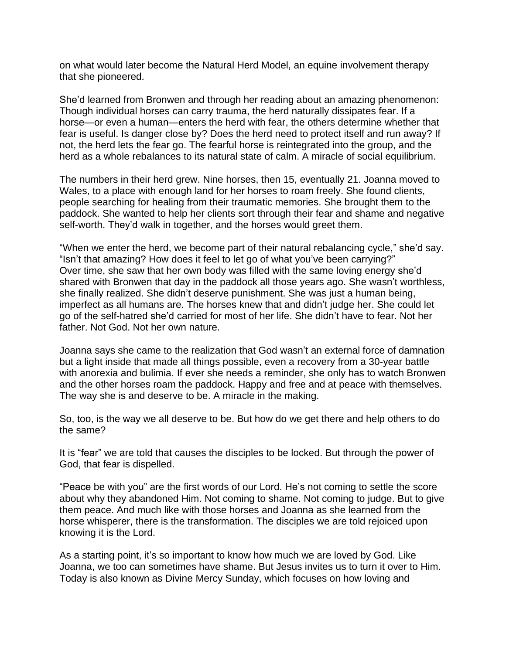on what would later become the Natural Herd Model, an equine involvement therapy that she pioneered.

She'd learned from Bronwen and through her reading about an amazing phenomenon: Though individual horses can carry trauma, the herd naturally dissipates fear. If a horse—or even a human—enters the herd with fear, the others determine whether that fear is useful. Is danger close by? Does the herd need to protect itself and run away? If not, the herd lets the fear go. The fearful horse is reintegrated into the group, and the herd as a whole rebalances to its natural state of calm. A miracle of social equilibrium.

The numbers in their herd grew. Nine horses, then 15, eventually 21. Joanna moved to Wales, to a place with enough land for her horses to roam freely. She found clients, people searching for healing from their traumatic memories. She brought them to the paddock. She wanted to help her clients sort through their fear and shame and negative self-worth. They'd walk in together, and the horses would greet them.

"When we enter the herd, we become part of their natural rebalancing cycle," she'd say. "Isn't that amazing? How does it feel to let go of what you've been carrying?" Over time, she saw that her own body was filled with the same loving energy she'd shared with Bronwen that day in the paddock all those years ago. She wasn't worthless, she finally realized. She didn't deserve punishment. She was just a human being, imperfect as all humans are. The horses knew that and didn't judge her. She could let go of the self-hatred she'd carried for most of her life. She didn't have to fear. Not her father. Not God. Not her own nature.

Joanna says she came to the realization that God wasn't an external force of damnation but a light inside that made all things possible, even a recovery from a 30-year battle with anorexia and bulimia. If ever she needs a reminder, she only has to watch Bronwen and the other horses roam the paddock. Happy and free and at peace with themselves. The way she is and deserve to be. A miracle in the making.

So, too, is the way we all deserve to be. But how do we get there and help others to do the same?

It is "fear" we are told that causes the disciples to be locked. But through the power of God, that fear is dispelled.

"Peace be with you" are the first words of our Lord. He's not coming to settle the score about why they abandoned Him. Not coming to shame. Not coming to judge. But to give them peace. And much like with those horses and Joanna as she learned from the horse whisperer, there is the transformation. The disciples we are told rejoiced upon knowing it is the Lord.

As a starting point, it's so important to know how much we are loved by God. Like Joanna, we too can sometimes have shame. But Jesus invites us to turn it over to Him. Today is also known as Divine Mercy Sunday, which focuses on how loving and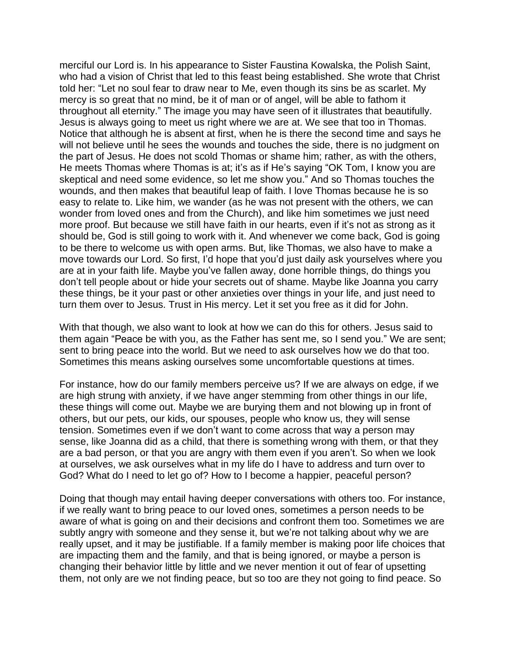merciful our Lord is. In his appearance to Sister Faustina Kowalska, the Polish Saint, who had a vision of Christ that led to this feast being established. She wrote that Christ told her: "Let no soul fear to draw near to Me, even though its sins be as scarlet. My mercy is so great that no mind, be it of man or of angel, will be able to fathom it throughout all eternity." The image you may have seen of it illustrates that beautifully. Jesus is always going to meet us right where we are at. We see that too in Thomas. Notice that although he is absent at first, when he is there the second time and says he will not believe until he sees the wounds and touches the side, there is no judgment on the part of Jesus. He does not scold Thomas or shame him; rather, as with the others, He meets Thomas where Thomas is at; it's as if He's saying "OK Tom, I know you are skeptical and need some evidence, so let me show you." And so Thomas touches the wounds, and then makes that beautiful leap of faith. I love Thomas because he is so easy to relate to. Like him, we wander (as he was not present with the others, we can wonder from loved ones and from the Church), and like him sometimes we just need more proof. But because we still have faith in our hearts, even if it's not as strong as it should be, God is still going to work with it. And whenever we come back, God is going to be there to welcome us with open arms. But, like Thomas, we also have to make a move towards our Lord. So first, I'd hope that you'd just daily ask yourselves where you are at in your faith life. Maybe you've fallen away, done horrible things, do things you don't tell people about or hide your secrets out of shame. Maybe like Joanna you carry these things, be it your past or other anxieties over things in your life, and just need to turn them over to Jesus. Trust in His mercy. Let it set you free as it did for John.

With that though, we also want to look at how we can do this for others. Jesus said to them again "Peace be with you, as the Father has sent me, so I send you." We are sent; sent to bring peace into the world. But we need to ask ourselves how we do that too. Sometimes this means asking ourselves some uncomfortable questions at times.

For instance, how do our family members perceive us? If we are always on edge, if we are high strung with anxiety, if we have anger stemming from other things in our life, these things will come out. Maybe we are burying them and not blowing up in front of others, but our pets, our kids, our spouses, people who know us, they will sense tension. Sometimes even if we don't want to come across that way a person may sense, like Joanna did as a child, that there is something wrong with them, or that they are a bad person, or that you are angry with them even if you aren't. So when we look at ourselves, we ask ourselves what in my life do I have to address and turn over to God? What do I need to let go of? How to I become a happier, peaceful person?

Doing that though may entail having deeper conversations with others too. For instance, if we really want to bring peace to our loved ones, sometimes a person needs to be aware of what is going on and their decisions and confront them too. Sometimes we are subtly angry with someone and they sense it, but we're not talking about why we are really upset, and it may be justifiable. If a family member is making poor life choices that are impacting them and the family, and that is being ignored, or maybe a person is changing their behavior little by little and we never mention it out of fear of upsetting them, not only are we not finding peace, but so too are they not going to find peace. So